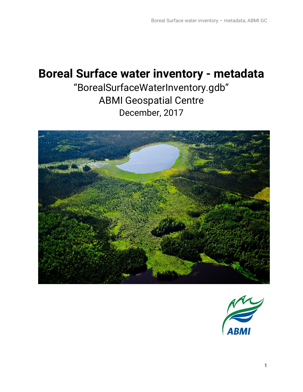# **Boreal Surface water inventory - metadata**

"BorealSurfaceWaterInventory.gdb" ABMI Geospatial Centre December, 2017



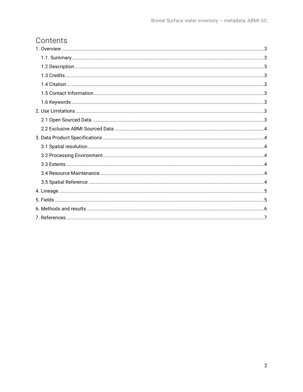# Contents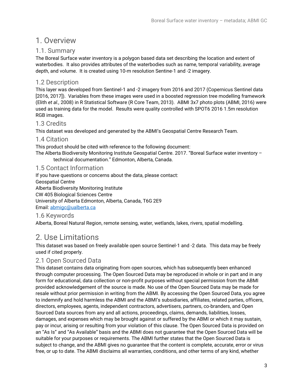### <span id="page-2-0"></span>1. Overview

### <span id="page-2-1"></span>1.1. Summary

The Boreal Surface water inventory is a polygon based data set describing the location and extent of waterbodies. It also provides attributes of the waterbodies such as name, temporal variability, average depth, and volume. It is created using 10-m resolution Sentine-1 and -2 imagery.

### <span id="page-2-2"></span>1.2 Description

This layer was developed from Sentinel-1 and -2 imagery from 2016 and 2017 (Copernicus Sentinel data [2016, 2017]). Variables from these images were used in a boosted regression tree modelling framework (Elith *et al.,* 2008) in R Statistical Software (R Core Team, 2013). ABMI 3x7 photo plots (ABMI, 2016) were used as training data for the model. Results were quality controlled with SPOT6 2016 1.5m resolution RGB images.

### <span id="page-2-3"></span>1.3 Credits

This dataset was developed and generated by the ABMI's Geospatial Centre Research Team.

### <span id="page-2-4"></span>1.4 Citation

This product should be cited with reference to the following document:

The Alberta Biodiversity Monitoring Institute Geospatial Centre. 2017. "Boreal Surface water inventory – technical documentation." Edmonton, Alberta, Canada.

### <span id="page-2-5"></span>1.5 Contact Information

If you have questions or concerns about the data, please contact: Geospatial Centre Alberta Biodiversity Monitoring Institute CW 405 Biological Sciences Centre University of Alberta Edmonton, Alberta, Canada, T6G 2E9 Email[: abmigc@ualberta.ca](mailto:abmigc@ualberta.ca)

### <span id="page-2-6"></span>1.6 Keywords

Alberta, Boreal Natural Region, remote sensing, water, wetlands, lakes, rivers, spatial modelling.

# <span id="page-2-7"></span>2. Use Limitations

This dataset was based on freely available open source Sentinel-1 and -2 data. This data may be freely used if cited properly.

### <span id="page-2-8"></span>2.1 Open Sourced Data

This dataset contains data originating from open sources, which has subsequently been enhanced through computer processing. The Open Sourced Data may be reproduced in whole or in part and in any form for educational, data collection or non-profit purposes without special permission from the ABMI provided acknowledgement of the source is made. No use of the Open Sourced Data may be made for resale without prior permission in writing from the ABMI. By accessing the Open Sourced Data, you agree to indemnify and hold harmless the ABMI and the ABMI's subsidiaries, affiliates, related parties, officers, directors, employees, agents, independent contractors, advertisers, partners, co-branders, and Open Sourced Data sources from any and all actions, proceedings, claims, demands, liabilities, losses, damages, and expenses which may be brought against or suffered by the ABMI or which it may sustain, pay or incur, arising or resulting from your violation of this clause. The Open Sourced Data is provided on an "As Is" and "As Available" basis and the ABMI does not guarantee that the Open Sourced Data will be suitable for your purposes or requirements. The ABMI further states that the Open Sourced Data is subject to change, and the ABMI gives no guarantee that the content is complete, accurate, error or virus free, or up to date. The ABMI disclaims all warranties, conditions, and other terms of any kind, whether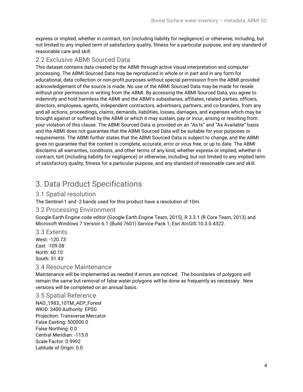express or implied, whether in contract, tort (including liability for negligence) or otherwise, including, but not limited to any implied term of satisfactory quality, fitness for a particular purpose, and any standard of reasonable care and skill.

### <span id="page-3-0"></span>2.2 Exclusive ABMI Sourced Data

This dataset contains data created by the ABMI through active visual interpretation and computer processing. The ABMI Sourced Data may be reproduced in whole or in part and in any form for educational, data collection or non-profit purposes without special permission from the ABMI provided acknowledgement of the source is made. No use of the ABMI Sourced Data may be made for resale without prior permission in writing from the ABMI. By accessing the ABMI Sourced Data, you agree to indemnify and hold harmless the ABMI and the ABMI's subsidiaries, affiliates, related parties, officers, directors, employees, agents, independent contractors, advertisers, partners, and co-branders, from any and all actions, proceedings, claims, demands, liabilities, losses, damages, and expenses which may be brought against or suffered by the ABMI or which it may sustain, pay or incur, arising or resulting from your violation of this clause. The ABMI Sourced Data is provided on an "As Is" and "As Available" basis and the ABMI does not guarantee that the ABMI Sourced Data will be suitable for your purposes or requirements. The ABMI further states that the ABMI Sourced Data is subject to change, and the ABMI gives no guarantee that the content is complete, accurate, error or virus free, or up to date. The ABMI disclaims all warranties, conditions, and other terms of any kind, whether express or implied, whether in contract, tort (including liability for negligence) or otherwise, including, but not limited to any implied term of satisfactory quality, fitness for a particular purpose, and any standard of reasonable care and skill.

# <span id="page-3-1"></span>3. Data Product Specifications

### <span id="page-3-2"></span>3.1 Spatial resolution

The Sentinel-1 and -2 bands used for this product have a resolution of 10m.

### <span id="page-3-3"></span>3.2 Processing Environment

Google Earth Engine code editor (Google Earth Engine Team, 2015), R 3.3.1 (R Core Team, 2013) and Microsoft Windows 7 Version 6.1 (Build 7601) Service Pack 1; Esri ArcGIS 10.3.0.4322.

<span id="page-3-4"></span>3.3 Extents West: -120.73◦ East: -109.08◦ North: 60.10◦ South: 51.43◦

#### <span id="page-3-5"></span>3.4 Resource Maintenance

Maintenance will be implemented as needed if errors are noticed. The boundaries of polygons will remain the same but removal of false water polygons will be done as frequently as necessary. New versions will be completed on an annual basis.

#### <span id="page-3-6"></span>3.5 Spatial Reference

NAD\_1983\_10TM\_AEP\_Forest WKID: 3400 Authority: EPSG Projection: Transverse Mercator False Easting: 500000.0 False Northing: 0.0 Central Meridian: -115.0 Scale Factor: 0.9992 Latitude of Origin: 0.0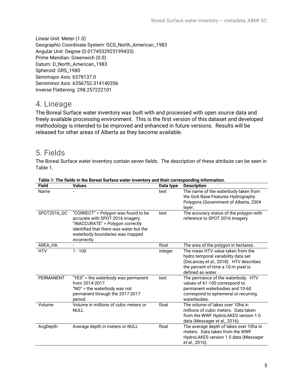Linear Unit: Meter (1.0) Geographic Coordinate System: GCS\_North\_American\_1983 Angular Unit: Degree (0.0174532925199433) Prime Meridian: Greenwich (0.0) Datum: D\_North\_American\_1983 Spheroid: GRS\_1980 Semimajor Axis: 6378137.0 Semiminor Axis: 6356752.314140356 Inverse Flattening: 298.257222101

### <span id="page-4-0"></span>4. Lineage

The Boreal Surface water inventory was built with and processed with open source data and freely available processing environment. This is the first version of this dataset and developed methodology is intended to be improved and enhanced in future versions. Results will be released for other areas of Alberta as they become available.

### <span id="page-4-1"></span>5. Fields

The Boreal Surface water inventory contain seven fields. The description of these attribute can be seen in Table 1.

| Field            | Values                                                                                                                                                                                                    | Data type | <b>Description</b>                                                                                                                                                             |
|------------------|-----------------------------------------------------------------------------------------------------------------------------------------------------------------------------------------------------------|-----------|--------------------------------------------------------------------------------------------------------------------------------------------------------------------------------|
| Name             |                                                                                                                                                                                                           | text      | The name of the waterbody taken from<br>the GoA Base Features Hydrography<br>Polygons (Government of Alberta, 2004<br>layer.                                                   |
| SP0T2016_QC      | "CORRECT" = Polygon was found to be<br>accurate with SPOT 2016 imagery.<br>"INACCURATE" = Polygon correctly<br>identified that there was water but the<br>waterbody boundaries was mapped<br>incorrectly. | text      | The accuracy status of the polygon with<br>reference to SPOT 2016 imagery.                                                                                                     |
| AREA_HA          |                                                                                                                                                                                                           | float     | The area of the polygon in hectares.                                                                                                                                           |
| <b>HTV</b>       | $1 - 100$                                                                                                                                                                                                 | integer   | The mean HTV value taken from the<br>hydro temporal variability data set<br>(DeLancey et al., 2018). HTV describes<br>the percent of time a 10-m pixel is<br>defined as water. |
| <b>PERMANENT</b> | "YES" = the waterbody was permanent<br>from 2014-2017.<br>"NO" = the waterbody was not<br>permanent through the 2017-2017<br>period.                                                                      | text      | The permance of the waterbody. HTV<br>values of 61-100 correspond to<br>permanent waterbodies and 10-60<br>correspond to ephemeral or recurring<br>waterbodies.                |
| Volume           | Volume in millions of cubic meters or<br><b>NULL</b>                                                                                                                                                      | float     | The volume of lakes over 10ha in<br>millions of cubic meters. Data taken<br>from the WWF HydroLAKES version 1.0<br>data (Messager et al., 2016).                               |
| AvgDepth         | Average depth in meters or NULL                                                                                                                                                                           | float     | The average depth of lakes over 10ha in<br>meters. Data taken from the WWF<br>HydroLAKES version 1.0 data (Messager<br>et al., 2016).                                          |

#### **Table 1: The fields in the Boreal Surface water inventory and their corresponding information.**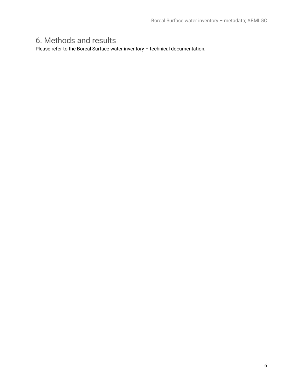# <span id="page-5-0"></span>6. Methods and results

Please refer to the Boreal Surface water inventory – technical documentation.